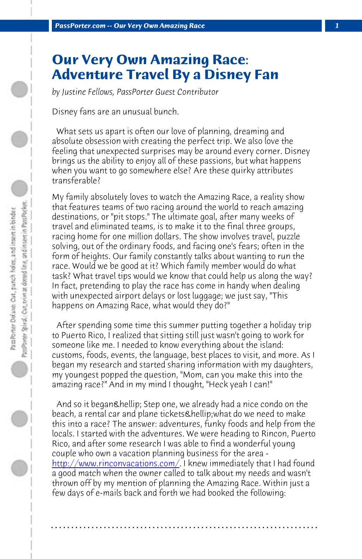**PassPorter.com -- Our Very Own Amazing Race** 

## **Our Very Own Amazing Race: Adventure Travel By a Disney Fan**

*by Justine Fellows, PassPorter Guest Contributor*

Disney fans are an unusual bunch.

 What sets us apart is often our love of planning, dreaming and absolute obsession with creating the perfect trip. We also love the feeling that unexpected surprises may be around every corner. Disney brings us the ability to enjoy all of these passions, but what happens when you want to go somewhere else? Are these quirky attributes transferable?

My family absolutely loves to watch the Amazing Race, a reality show that features teams of two racing around the world to reach amazing destinations, or "pit stops." The ultimate goal, after many weeks of travel and eliminated teams, is to make it to the final three groups, racing home for one million dollars. The show involves travel, puzzle solving, out of the ordinary foods, and facing one's fears; often in the form of heights. Our family constantly talks about wanting to run the race. Would we be good at it? Which family member would do what task? What travel tips would we know that could help us along the way? In fact, pretending to play the race has come in handy when dealing [with unexpected airport delays or l](http://www.rinconvacations.com/)ost luggage; we just say, "This happens on Amazing Race, what would they do?"

 After spending some time this summer putting together a holiday trip to Puerto Rico, I realized that sitting still just wasn't going to work for someone like me. I needed to know everything about the island: customs, foods, events, the language, best places to visit, and more. As I began my research and started sharing information with my daughters, my youngest popped the question, "Mom, can you make this into the amazing race?" And in my mind I thought, "Heck yeah I can!"

And so it began & hellip; Step one, we already had a nice condo on the beach, a rental car and plane tickets…what do we need to make this into a race? The answer: adventures, funky foods and help from the locals. I started with the adventures. We were heading to Rincon, Puerto Rico, and after some research I was able to find a wonderful young couple who own a vacation planning business for the area http://www.rinconvacations.com/. I knew immediately that I had found a good match when the owner called to talk about my needs and wasn't thrown off by my mention of planning the Amazing Race. Within just a few days of e-mails back and forth we had booked the following:

**. . . . . . . . . . . . . . . . . . . . . . . . . . . . . . . . . . . . . . . . . . . . . . . . . . . . . . . . . . . . . . . . . .**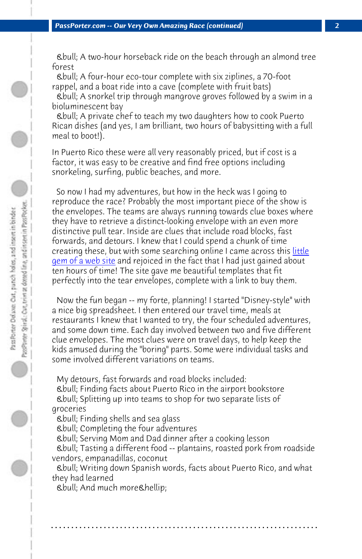*PassPorter.com -- Our Very Own Amazing Race (continued) 2*

 • A two-hour horseback ride on the beach through an almond tree forest

 • A four-hour eco-tour complete with six ziplines, a 70-foot rappel, and a boat ride into a cave (complete with fruit bats)  [• A snorkel](http://www.chicaandjo.com/2010/07/05/amazing-race-party/) trip through mangrove groves followed by a swim in a bioluminescent bay

 • A private chef to teach my two daughters how to cook Puerto Rican dishes (and yes, I am brilliant, two hours of babysitting with a full meal to boot!).

In Puerto Rico these were all very reasonably priced, but if cost is a factor, it was easy to be creative and find free options including snorkeling, surfing, public beaches, and more.

 So now I had my adventures, but how in the heck was I going to reproduce the race? Probably the most important piece of the show is the envelopes. The teams are always running towards clue boxes where they have to retrieve a distinct-looking envelope with an even more distinctive pull tear. Inside are clues that include road blocks, fast forwards, and detours. I knew that I could spend a chunk of time creating these, but with some searching online I came across this <u>little</u> gem of a web site and rejoiced in the fact that I had just gained about ten hours of time! The site gave me beautiful templates that fit perfectly into the tear envelopes, complete with a link to buy them.

 Now the fun began -- my forte, planning! I started "Disney-style" with a nice big spreadsheet. I then entered our travel time, meals at restaurants I knew that I wanted to try, the four scheduled adventures, and some down time. Each day involved between two and five different clue envelopes. The most clues were on travel days, to help keep the kids amused during the "boring" parts. Some were individual tasks and some involved different variations on teams.

 My detours, fast forwards and road blocks included: • Finding facts about Puerto Rico in the airport bookstore • Splitting up into teams to shop for two separate lists of groceries

 • Finding shells and sea glass

 • Completing the four adventures

 • Serving Mom and Dad dinner after a cooking lesson

 • Tasting a different food -- plantains, roasted pork from roadside vendors, empanadillas, coconut

 • Writing down Spanish words, facts about Puerto Rico, and what they had learned

**. . . . . . . . . . . . . . . . . . . . . . . . . . . . . . . . . . . . . . . . . . . . . . . . . . . . . . . . . . . . . . . . . .**

*ebull; And much more ehellip;*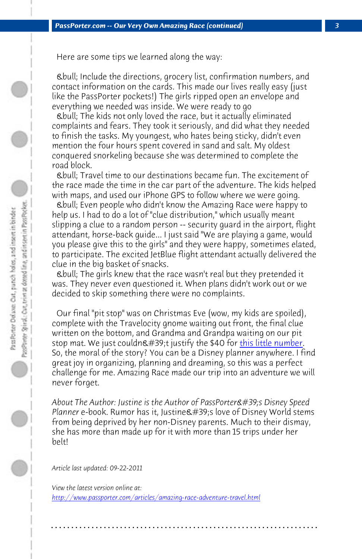Here are some tips we learned along the way:

 • Include the directions, grocery list, confirmation numbers, and contact information on the cards. This made our lives really easy (just like the PassPorter pockets!) The girls ripped open an envelope and everything we needed was inside. We were ready to go

 • The kids not only loved the race, but it actually eliminated complaints and fears. They took it seriously, and did what they needed to finish the tasks. My youngest, who hates being sticky, didn't even mention the four hours spent covered in sand and salt. My oldest conquered snorkeling because she was determined to complete the road block.

 • Travel time to our destinations became fun[. The excitement o](http://cbs.seenon.com/the-amazing-race-pit-stop-floor-mat-23-x-36/detail.php?p=274442)f the race made the time in the car part of the adventure. The kids helped with maps, and used our iPhone GPS to follow where we were going.

 • Even people who didn't know the Amazing Race were happy to help us. I had to do a lot of "clue distribution," which usually meant slipping a clue to a random person -- security guard in the airport, flight attendant, horse-back guide... I just said "We are playing a game, would you please give this to the girls" and they were happy, sometimes elated, to participate. The excited JetBlue flight attendant actually delivered the clue in the big basket of snacks.

 • The girls knew that the race wasn't real but they pretended it was. They never even questioned it. When plans didn't work out or we decided to skip something there were no complaints.

 Our final "pit stop" was on Christmas Eve (wow, my kids are spoiled), complete with the Travelocity gnome waiting out front, the final clue [written on the bottom, and Grandma and Grandpa waiting](http://www.passporter.com/articles/amazing-race-adventure-travel.php) on our pit stop mat. We just couldn't justify the \$40 for this little number. So, the moral of the story? You can be a Disney planner anywhere. I find great joy in organizing, planning and dreaming, so this was a perfect challenge for me. Amazing Race made our trip into an adventure we will never forget.

About The Author: Justine is the Author of PassPorter's Disney Speed *Planner* e-book. Rumor has it, Justine's love of Disney World stems from being deprived by her non-Disney parents. Much to their dismay, she has more than made up for it with more than 15 trips under her belt!

**. . . . . . . . . . . . . . . . . . . . . . . . . . . . . . . . . . . . . . . . . . . . . . . . . . . . . . . . . . . . . . . . . .**

*Article last updated: 09-22-2011*

*View the latest version online at: http://www.passporter.com/articles/amazing-race-adventure-travel.html*